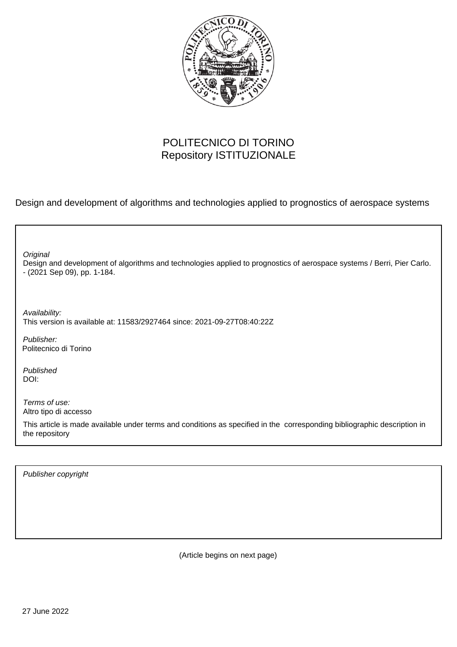

## POLITECNICO DI TORINO Repository ISTITUZIONALE

Design and development of algorithms and technologies applied to prognostics of aerospace systems

| Original<br>Design and development of algorithms and technologies applied to prognostics of aerospace systems / Berri, Pier Carlo.<br>$-$ (2021 Sep 09), pp. 1-184. |
|---------------------------------------------------------------------------------------------------------------------------------------------------------------------|
| Availability:<br>This version is available at: 11583/2927464 since: 2021-09-27T08:40:22Z                                                                            |
| Publisher:<br>Politecnico di Torino                                                                                                                                 |
| Published<br>DOI:                                                                                                                                                   |
| Terms of use:<br>Altro tipo di accesso                                                                                                                              |
| This article is made available under terms and conditions as specified in the corresponding bibliographic description in<br>the repository                          |
|                                                                                                                                                                     |

Publisher copyright

(Article begins on next page)